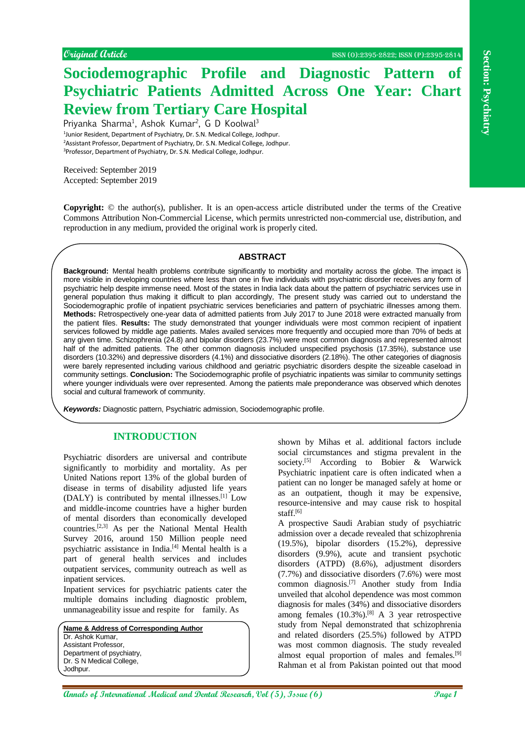# **Sociodemographic Profile and Diagnostic Pattern of Psychiatric Patients Admitted Across One Year: Chart Review from Tertiary Care Hospital**

Priyanka Sharma<sup>1</sup>, Ashok Kumar<sup>2</sup>, G D Koolwal<sup>3</sup> <sup>1</sup>Junior Resident, Department of Psychiatry, Dr. S.N. Medical College, Jodhpur. <sup>2</sup>Assistant Professor, Department of Psychiatry, Dr. S.N. Medical College, Jodhpur. <sup>3</sup>Professor, Department of Psychiatry, Dr. S.N. Medical College, Jodhpur.

Received: September 2019 Accepted: September 2019

**Copyright:** © the author(s), publisher. It is an open-access article distributed under the terms of the Creative Commons Attribution Non-Commercial License, which permits unrestricted non-commercial use, distribution, and reproduction in any medium, provided the original work is properly cited.

### **ABSTRACT**

Consider the station is one of the stational Medical Accounts and the stational Medical Accounts and the stational Medical Accounts and the stational Medical Accounts and the stational Medical Accounts and the stational Me **Background:** Mental health problems contribute significantly to morbidity and mortality across the globe. The impact is more visible in developing countries where less than one in five individuals with psychiatric disorder receives any form of psychiatric help despite immense need. Most of the states in India lack data about the pattern of psychiatric services use in general population thus making it difficult to plan accordingly, The present study was carried out to understand the Sociodemographic profile of inpatient psychiatric services beneficiaries and pattern of psychiatric illnesses among them. **Methods:** Retrospectively one-year data of admitted patients from July 2017 to June 2018 were extracted manually from the patient files. **Results:** The study demonstrated that younger individuals were most common recipient of inpatient services followed by middle age patients. Males availed services more frequently and occupied more than 70% of beds at any given time. Schizophrenia (24.8) and bipolar disorders (23.7%) were most common diagnosis and represented almost half of the admitted patients. The other common diagnosis included unspecified psychosis (17.35%), substance use disorders (10.32%) and depressive disorders (4.1%) and dissociative disorders (2.18%). The other categories of diagnosis were barely represented including various childhood and geriatric psychiatric disorders despite the sizeable caseload in community settings. **Conclusion:** The Sociodemographic profile of psychiatric inpatients was similar to community settings where younger individuals were over represented. Among the patients male preponderance was observed which denotes social and cultural framework of community.

*Keywords:* Diagnostic pattern, Psychiatric admission, Sociodemographic profile.

### **INTRODUCTION**

Psychiatric disorders are universal and contribute significantly to morbidity and mortality. As per United Nations report 13% of the global burden of disease in terms of disability adjusted life years (DALY) is contributed by mental illnesses. [1] Low and middle-income countries have a higher burden of mental disorders than economically developed countries.[2,3] As per the National Mental Health Survey 2016, around 150 Million people need psychiatric assistance in India.[4] Mental health is a part of general health services and includes outpatient services, community outreach as well as inpatient services.

Inpatient services for psychiatric patients cater the multiple domains including diagnostic problem, unmanageability issue and respite for family. As

**Name & Address of Corresponding Author** Dr. Ashok Kumar, Assistant Professor, Department of psychiatry, Dr. S N Medical College. Jodhpur.

shown by Mihas et al. additional factors include social circumstances and stigma prevalent in the society.<sup>[5]</sup> According to Bobier & Warwick Psychiatric inpatient care is often indicated when a patient can no longer be managed safely at home or as an outpatient, though it may be expensive, resource-intensive and may cause risk to hospital staff.[6]

A prospective Saudi Arabian study of psychiatric admission over a decade revealed that schizophrenia (19.5%), bipolar disorders (15.2%), depressive disorders (9.9%), acute and transient psychotic disorders (ATPD) (8.6%), adjustment disorders (7.7%) and dissociative disorders (7.6%) were most common diagnosis.[7] Another study from India unveiled that alcohol dependence was most common diagnosis for males (34%) and dissociative disorders among females  $(10.3\%)$ .<sup>[8]</sup> A 3 year retrospective study from Nepal demonstrated that schizophrenia and related disorders (25.5%) followed by ATPD was most common diagnosis. The study revealed almost equal proportion of males and females.<sup>[9]</sup> Rahman et al from Pakistan pointed out that mood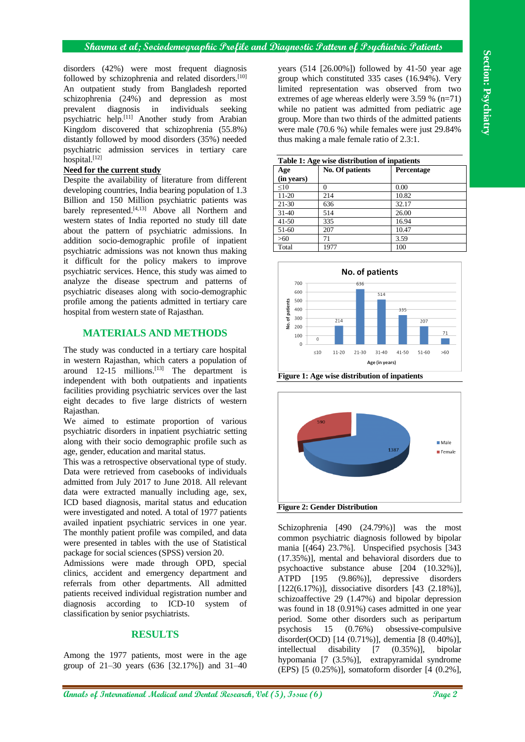disorders (42%) were most frequent diagnosis followed by schizophrenia and related disorders.<sup>[10]</sup> An outpatient study from Bangladesh reported schizophrenia (24%) and depression as most prevalent diagnosis in individuals seeking psychiatric help.<sup>[11]</sup> Another study from Arabian Kingdom discovered that schizophrenia (55.8%) distantly followed by mood disorders (35%) needed psychiatric admission services in tertiary care  $hospital.<sup>[12]</sup>$ 

### **Need for the current study**

Despite the availability of literature from different developing countries, India bearing population of 1.3 Billion and 150 Million psychiatric patients was barely represented.<sup>[4,13]</sup> Above all Northern and western states of India reported no study till date about the pattern of psychiatric admissions. In addition socio-demographic profile of inpatient psychiatric admissions was not known thus making it difficult for the policy makers to improve psychiatric services. Hence, this study was aimed to analyze the disease spectrum and patterns of psychiatric diseases along with socio-demographic profile among the patients admitted in tertiary care hospital from western state of Rajasthan.

## **MATERIALS AND METHODS**

The study was conducted in a tertiary care hospital in western Rajasthan, which caters a population of around  $12-15$  millions.<sup>[13]</sup> The department is independent with both outpatients and inpatients facilities providing psychiatric services over the last eight decades to five large districts of western Rajasthan.

We aimed to estimate proportion of various psychiatric disorders in inpatient psychiatric setting along with their socio demographic profile such as age, gender, education and marital status.

This was a retrospective observational type of study. Data were retrieved from casebooks of individuals admitted from July 2017 to June 2018. All relevant data were extracted manually including age, sex, ICD based diagnosis, marital status and education were investigated and noted. A total of 1977 patients availed inpatient psychiatric services in one year. The monthly patient profile was compiled, and data were presented in tables with the use of Statistical package for social sciences (SPSS) version 20.

Admissions were made through OPD, special clinics, accident and emergency department and referrals from other departments. All admitted patients received individual registration number and diagnosis according to ICD-10 system of classification by senior psychiatrists.

### **RESULTS**

Among the 1977 patients, most were in the age group of 21–30 years (636 [32.17%]) and 31–40

years (514 [26.00%]) followed by 41-50 year age group which constituted 335 cases (16.94%). Very limited representation was observed from two extremes of age whereas elderly were 3.59 % (n=71) while no patient was admitted from pediatric age group. More than two thirds of the admitted patients were male (70.6 %) while females were just 29.84% thus making a male female ratio of 2.3:1.

| Table 1: Age wise distribution of inpatients |                 |                   |  |
|----------------------------------------------|-----------------|-------------------|--|
| Age<br>(in years)                            | No. Of patients | <b>Percentage</b> |  |
| <10                                          | 0               | 0.00              |  |
| $11-20$                                      | 214             | 10.82             |  |
| $21 - 30$                                    | 636             | 32.17             |  |
| $31 - 40$                                    | 514             | 26.00             |  |
| $41 - 50$                                    | 335             | 16.94             |  |
| $51-60$                                      | 207             | 10.47             |  |
| >60                                          | 71              | 3.59              |  |
| Total                                        | 1977            | 100               |  |



**Figure 1: Age wise distribution of inpatients**



**Above CES** space more topogram dispersion your CEL (NORM) followed by 21-31) your group<br>continues and  $\frac{1}{2}$  continues and the model and Dental Research (No. 8) and  $\frac{1}{2}$  continues are also continues and  $\frac{1}{2}$  Schizophrenia [490 (24.79%)] was the most common psychiatric diagnosis followed by bipolar mania [(464) 23.7%]. Unspecified psychosis [343 (17.35%)], mental and behavioral disorders due to psychoactive substance abuse [204 (10.32%)], ATPD [195 (9.86%)], depressive disorders [122(6.17%)], dissociative disorders [43 (2.18%)], schizoaffective 29 (1.47%) and bipolar depression was found in 18 (0.91%) cases admitted in one year period. Some other disorders such as peripartum psychosis 15 (0.76%) obsessive-compulsive disorder(OCD) [14 (0.71%)], dementia [8 (0.40%)], intellectual disability [7 (0.35%)], bipolar hypomania [7 (3.5%)], extrapyramidal syndrome (EPS) [5 (0.25%)], somatoform disorder [4 (0.2%],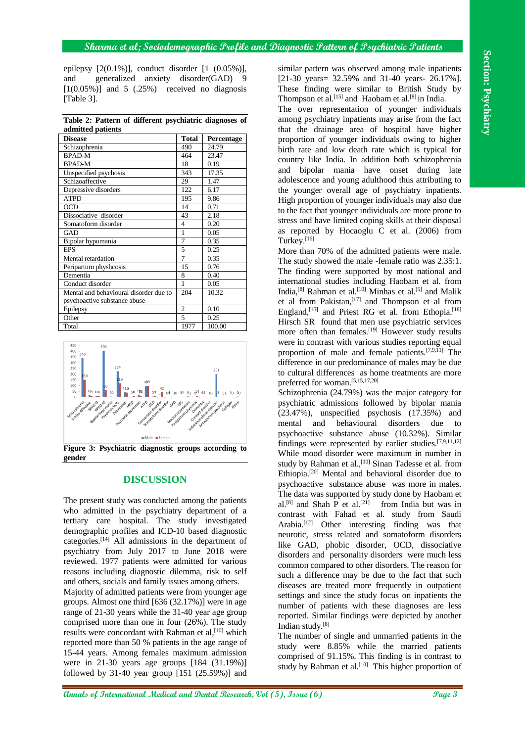epilepsy [2(0.1%)], conduct disorder [1 (0.05%)], and generalized anxiety disorder(GAD) 9  $[1(0.05\%)]$  and 5 (.25%) received no diagnosis [Table 3].

**Table 2: Pattern of different psychiatric diagnoses of admitted patients**

| aunnuu pautnis                         |                |                   |  |  |
|----------------------------------------|----------------|-------------------|--|--|
| <b>Disease</b>                         | <b>Total</b>   | <b>Percentage</b> |  |  |
| Schizophrenia                          | 490            | 24.79             |  |  |
| <b>BPAD-M</b>                          | 464            | 23.47             |  |  |
| <b>BPAD-M</b>                          | 18             | 0.19              |  |  |
| Unspecified psychosis                  | 343            | 17.35             |  |  |
| Schizoaffective                        | 29             | 1.47              |  |  |
| Depressive disorders                   | 122            | 6.17              |  |  |
| <b>ATPD</b>                            | 195            | 9.86              |  |  |
| <b>OCD</b>                             | 14             | 0.71              |  |  |
| Dissociative disorder                  | 43             | 2.18              |  |  |
| Somatoform disorder                    | 4              | 0.20              |  |  |
| <b>GAD</b>                             | 1              | 0.05              |  |  |
| Bipolar hypomania                      | 7              | 0.35              |  |  |
| <b>EPS</b>                             | 5              | 0.25              |  |  |
| Mental retardation                     | $\overline{7}$ | 0.35              |  |  |
| Peripartum physhcosis                  | 15             | 0.76              |  |  |
| Dementia                               | 8              | 0.40              |  |  |
| Conduct disorder                       | 1              | 0.05              |  |  |
| Mental and behavioural disorder due to | 204            | 10.32             |  |  |
| psychoactive substance abuse           |                |                   |  |  |
| Epilepsy                               | $\overline{c}$ | 0.10              |  |  |
| Other                                  | 5              | 0.25              |  |  |
| Total                                  | 1977           | 100.00            |  |  |



**gender**

# **DISCUSSION**

The present study was conducted among the patients who admitted in the psychiatry department of a tertiary care hospital. The study investigated demographic profiles and ICD-10 based diagnostic categories.[14] All admissions in the department of psychiatry from July 2017 to June 2018 were reviewed. 1977 patients were admitted for various reasons including diagnostic dilemma, risk to self and others, socials and family issues among others.

Majority of admitted patients were from younger age groups. Almost one third [636 (32.17%)] were in age range of 21-30 years while the 31-40 year age group comprised more than one in four (26%). The study results were concordant with Rahman et al,<sup>[10]</sup> which reported more than 50 % patients in the age range of 15-44 years. Among females maximum admission were in 21-30 years age groups [184 (31.19%)] followed by 31-40 year group  $[151 (25.59%)]$  and

similar pattern was observed among male inpatients [21-30 years= 32.59% and 31-40 years- 26.17%]. These finding were similar to British Study by Thompson et al.<sup>[15]</sup> and Haobam et al.<sup>[8]</sup> in India.

The over representation of younger individuals among psychiatry inpatients may arise from the fact that the drainage area of hospital have higher proportion of younger individuals owing to higher birth rate and low death rate which is typical for country like India. In addition both schizophrenia and bipolar mania have onset during late adolescence and young adulthood thus attributing to the younger overall age of psychiatry inpatients. High proportion of younger individuals may also due to the fact that younger individuals are more prone to stress and have limited coping skills at their disposal as reported by Hocaoglu C et al. (2006) from Turkey.<sup>[16]</sup>

More than 70% of the admitted patients were male. The study showed the male -female ratio was 2.35:1. The finding were supported by most national and international studies including Haobam et al. from India,<sup>[8]</sup> Rahman et al.<sup>[10]</sup> Minhas et al.<sup>[5]</sup> and Malik et al from Pakistan, [17] and Thompson et al from England,<sup>[15]</sup> and Priest RG et al. from Ethopia.<sup>[18]</sup> Hirsch SR found that men use psychiatric services more often than females.<sup>[19]</sup> However study results were in contrast with various studies reporting equal proportion of male and female patients.<sup>[7,9,11]</sup> The difference in our predominance of males may be due to cultural differences as home treatments are more preferred for woman.[5,15,17,20]

Solence (NETW), contact distribution (1) OSPA), contact distribution (NETW) (NETW) (NETW) (NETW) (NETW) (NETW) (NETW) (NETW) (NETW) (NETW) (NETW) (NETW) (NETW) (NETW) (NETW) (NETW) (NETW) (NETW) (NETW) (NETW) (NETW) (NETW Schizophrenia (24.79%) was the major category for psychiatric admissions followed by bipolar mania (23.47%), unspecified psychosis (17.35%) and mental and behavioural disorders due to psychoactive substance abuse (10.32%). Similar findings were represented by earlier studies.[7,9,11,12] While mood disorder were maximum in number in study by Rahman et al.,<sup>[10]</sup> Sinan Tadesse et al. from Ethiopia.[20] Mental and behavioral disorder due to psychoactive substance abuse was more in males. The data was supported by study done by Haobam et al.<sup>[8]</sup> and Shah P et al.<sup>[21]</sup> from India but was in contrast with Fahad et al. study from Saudi Arabia.[12] Other interesting finding was that neurotic, stress related and somatoform disorders like GAD, phobic disorder, OCD, dissociative disorders and personality disorders were much less common compared to other disorders. The reason for such a difference may be due to the fact that such diseases are treated more frequently in outpatient settings and since the study focus on inpatients the number of patients with these diagnoses are less reported. Similar findings were depicted by another Indian study.[8]

The number of single and unmarried patients in the study were 8.85% while the married patients comprised of 91.15%. This finding is in contrast to study by Rahman et al. $[10]$  This higher proportion of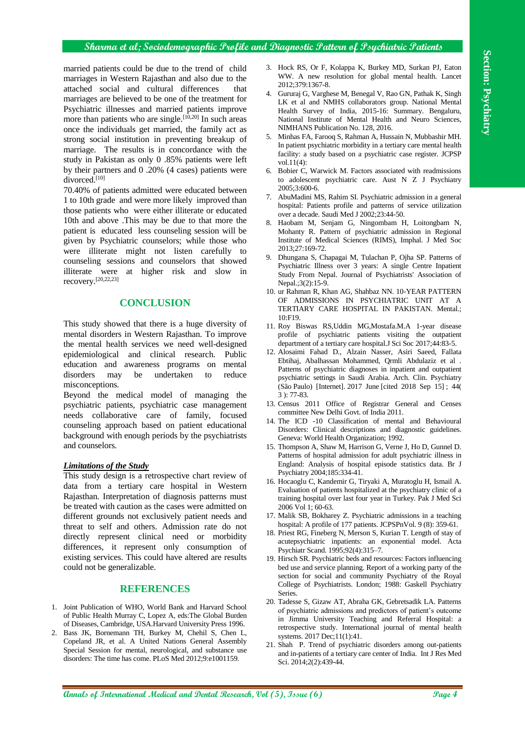### **Sharma et al; Sociodemographic Profile and Diagnostic Pattern of Psychiatric Patients**

**Annals of International Medical and Dental Research, Vol (5), Issue (6) Page 4 Section: Psychiatry** married patients could be due to the trend of child marriages in Western Rajasthan and also due to the attached social and cultural differences that marriages are believed to be one of the treatment for Psychiatric illnesses and married patients improve more than patients who are single.<sup>[10,20]</sup> In such areas once the individuals get married, the family act as strong social institution in preventing breakup of marriage. The results is in concordance with the study in Pakistan as only 0 .85% patients were left by their partners and 0 .20% (4 cases) patients were divorced.<sup>[10]</sup>

70.40% of patients admitted were educated between 1 to 10th grade and were more likely improved than those patients who were either illiterate or educated 10th and above .This may be due to that more the patient is educated less counseling session will be given by Psychiatric counselors; while those who were illiterate might not listen carefully to counseling sessions and counselors that showed illiterate were at higher risk and slow in recovery.[20,22,23]

### **CONCLUSION**

This study showed that there is a huge diversity of mental disorders in Western Rajasthan. To improve the mental health services we need well-designed epidemiological and clinical research. Public education and awareness programs on mental disorders may be undertaken to reduce misconceptions.

Beyond the medical model of managing the psychiatric patients, psychiatric case management needs collaborative care of family, focused counseling approach based on patient educational background with enough periods by the psychiatrists and counselors.

#### *Limitations of the Study*

This study design is a retrospective chart review of data from a tertiary care hospital in Western Rajasthan. Interpretation of diagnosis patterns must be treated with caution as the cases were admitted on different grounds not exclusively patient needs and threat to self and others. Admission rate do not directly represent clinical need or morbidity differences, it represent only consumption of existing services. This could have altered are results could not be generalizable.

### **REFERENCES**

- 1. Joint Publication of WHO, World Bank and Harvard School of Public Health Murray C, Lopez A, eds:The Global Burden of Diseases, Cambridge, USA.Harvard University Press 1996.
- 2. Bass JK, Bornemann TH, Burkey M, Chehil S, Chen L, Copeland JR, et al. A United Nations General Assembly Special Session for mental, neurological, and substance use disorders: The time has come. PLoS Med 2012;9:e1001159.
- 3. Hock RS, Or F, Kolappa K, Burkey MD, Surkan PJ, Eaton WW. A new resolution for global mental health. Lancet 2012;379:1367-8.
- 4. Gururaj G, Varghese M, Benegal V, Rao GN, Pathak K, Singh LK et al and NMHS collaborators group. National Mental Health Survey of India, 2015-16: Summary. Bengaluru, National Institute of Mental Health and Neuro Sciences, NIMHANS Publication No. 128, 2016.
- 5. Minhas FA, Farooq S, Rahman A, Hussain N, Mubbashir MH. In patient psychiatric morbidity in a tertiary care mental health facility: a study based on a psychiatric case register. JCPSP vol.11(4):
- 6. Bobier C, Warwick M. Factors associated with readmissions to adolescent psychiatric care. Aust N Z J Psychiatry 2005;3:600-6.
- 7. AbuMadini MS, Rahim SI. Psychiatric admission in a general hospital: Patients profile and patterns of service utilization over a decade. Saudi Med J 2002;23:44-50.
- 8. Haobam M, Senjam G, Ningombam H, Loitongbam N, Mohanty R. Pattern of psychiatric admission in Regional Institute of Medical Sciences (RIMS), Imphal. J Med Soc 2013;27:169-72.
- 9. Dhungana S, Chapagai M, Tulachan P, Ojha SP. Patterns of Psychiatric Illness over 3 years: A single Centre Inpatient Study From Nepal. Journal of Psychiatrists' Association of Nepal.;3(2):15-9.
- 10. ur Rahman R, Khan AG, Shahbaz NN. 10-YEAR PATTERN OF ADMISSIONS IN PSYCHIATRIC UNIT AT A TERTIARY CARE HOSPITAL IN PAKISTAN. Mental.;  $10·$ F19
- 11. Roy Biswas RS,Uddin MG,Mostafa.M.A 1-year disease profile of psychiatric patients visiting the outpatient department of a tertiary care hospital.J Sci Soc 2017;44:83-5.
- 12. Alosaimi Fahad D., Alzain Nasser, Asiri Saeed, Fallata Ebtihaj, Abalhassan Mohammed, Qrmli Abdulaziz et al . Patterns of psychiatric diagnoses in inpatient and outpatient psychiatric settings in Saudi Arabia. Arch. Clin. Psychiatry (São Paulo) [Internet]. 2017 June [cited 2018 Sep 15] ; 44( 3 ): 77-83.
- 13. Census 2011 Office of Registrar General and Censes committee New Delhi Govt. of India 2011.
- 14. The ICD -10 Classification of mental and Behavioural Disorders: Clinical descriptions and diagnostic guidelines. Geneva: World Health Organization; 1992.
- 15. Thompson A, Shaw M, Harrison G, Verne J, Ho D, Gunnel D. Patterns of hospital admission for adult psychiatric illness in England: Analysis of hospital episode statistics data. Br J Psychiatry 2004;185:334-41.
- 16. Hocaoglu C, Kandemir G, Tiryaki A, Muratoglu H, Ismail A. Evaluation of patients hospitalized at the psychiatry clinic of a training hospital over last four year in Turkey. Pak J Med Sci 2006 Vol 1; 60-63.
- 17. Malik SB, Bokharey Z. Psychiatric admissions in a teaching hospital: A profile of 177 patients. JCPSPnVol. 9 (8): 359-61.
- 18. Priest RG, Fineberg N, Merson S, Kurian T. Length of stay of acutepsychiatric inpatients: an exponential model. Acta Psychiatr Scand. 1995;92(4):315–7.
- 19. Hirsch SR. Psychiatric beds and resources: Factors influencing bed use and service planning. Report of a working party of the section for social and community Psychiatry of the Royal College of Psychiatrists. London; 1988: Gaskell Psychiatry Series.
- 20. Tadesse S, Gizaw AT, Abraha GK, Gebretsadik LA. Patterns of psychiatric admissions and predictors of patient's outcome in Jimma University Teaching and Referral Hospital: a retrospective study. International journal of mental health systems. 2017 Dec;11(1):41.
- 21. Shah P. Trend of psychiatric disorders among out-patients and in-patients of a tertiary care center of India. Int J Res Med Sci. 2014;2(2):439-44.